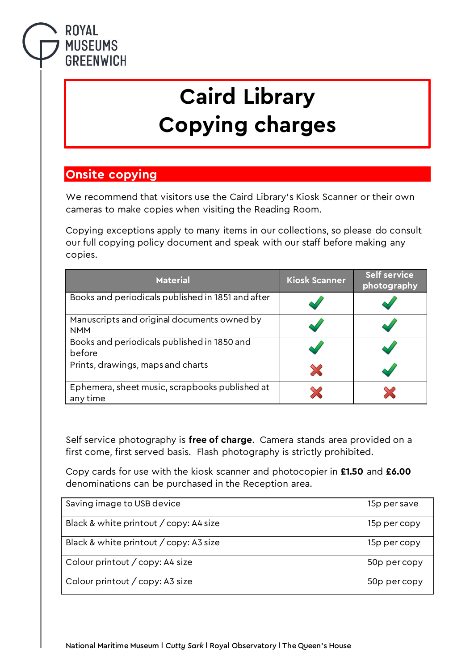## **ROYAL MUSEUMS GREENWICH**

## **Caird Library Copying charges**

## **Onsite copying**

We recommend that visitors use the Caird Library's Kiosk Scanner or their own cameras to make copies when visiting the Reading Room.

Copying exceptions apply to many items in our collections, so please do consult our full copying policy document and speak with our staff before making any copies.

| <b>Material</b>                                            | <b>Kiosk Scanner</b> | <b>Self service</b><br>photography |
|------------------------------------------------------------|----------------------|------------------------------------|
| Books and periodicals published in 1851 and after          |                      |                                    |
| Manuscripts and original documents owned by<br><b>NMM</b>  |                      |                                    |
| Books and periodicals published in 1850 and<br>before      |                      |                                    |
| Prints, drawings, maps and charts                          | X                    |                                    |
| Ephemera, sheet music, scrapbooks published at<br>any time |                      |                                    |

Self service photography is **free of charge**. Camera stands area provided on a first come, first served basis. Flash photography is strictly prohibited.

Copy cards for use with the kiosk scanner and photocopier in **£1.50** and **£6.00**  denominations can be purchased in the Reception area.

| Saving image to USB device             | 15p per save |
|----------------------------------------|--------------|
| Black & white printout / copy: A4 size | 15p per copy |
| Black & white printout / copy: A3 size | 15p per copy |
| Colour printout / copy: A4 size        | 50p per copy |
| Colour printout / copy: A3 size        | 50p per copy |